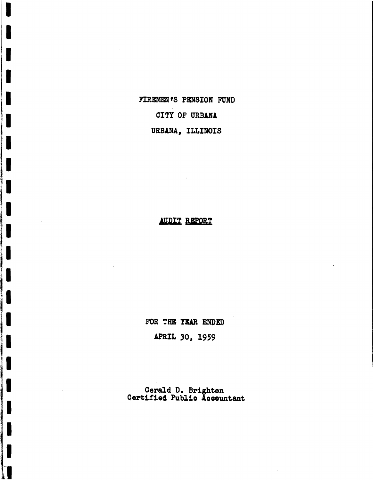FIREMEN'S PENSION FUND CITY OF URBANA URBANA, ILLINOIS

 $\blacksquare$ 

## AUDIT REPORT

FOR THE YEAR ENDED

APRIL 30. 1959

Gerald D. Brighton Certified Public Accountant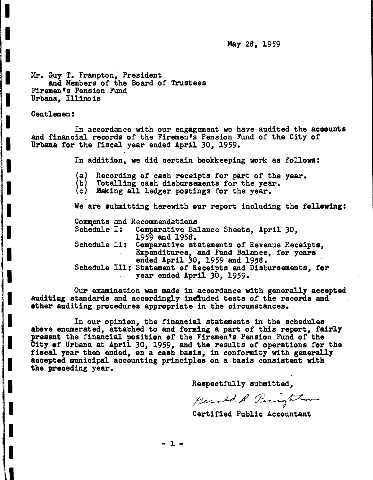May 28, 1959

Mr. Guy T. Frampton, President and Members of the Board of Trustees Firemen's Pension Fund Urbana, Illinois

Gentlemen:

I

I

I

I

I

I

I

I

I

I

I

/1

I

I

I

I

I

I

I

1

In accordance with our engagement we have audited the acoounts and financial records of the Firemen's Pension Fund of the City of Urbana for the fiscal year ended April 30, 1959.

In addition, we did certain bookkeeping work as follows:

(a) Recording of cash receipts for part of the year. (b) Totalling cash disbursements for the year. (c) Making all ledger poatings for the year.

We are submitting herewith our report including the following:

Comments and Recommendations<br>Schedule I: Comparative Balance Sheets, April 30. 1959 and 1958.<br>Schedule II: Comparative statements of Revenue Receipts,<br>Expenditures, and Fund Balance, for years<br>ended April 30, 1959 and 1958.<br>Schedule III: Statement of Receipts and Disbursements, for year ended April 30, 1959.

Our examination was made in accordance with generally accepted auditing standards and accordingly included tests of the records and ether auditing procedures appropriate in the circumstances.

In our opinion, the financial statements in the schedules abeve enumerated, attached to and forming a part of this report, fairly present the financial position of the Firemen's Pension Fund of the City ef Urbana at April 30, 1959, and the results of operations for the fiscal year then ended, on a cash basis, in conformity with generally accepted municipal accounting principles on a basis consistent with the preceding year.

Respectfully submitted,

perald R Brighton

Certified Public Accountant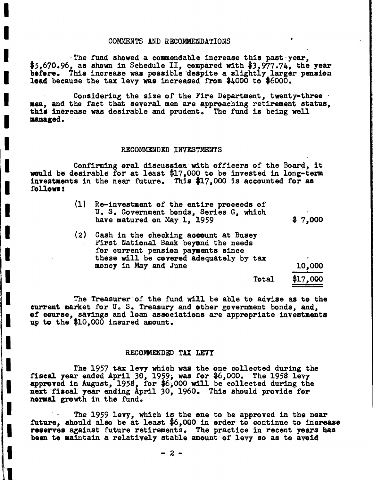#### COMMENTS AND RECOMMENDATIONS

I

I

I

I

I

I

I

I

I

I

I

I:

I

II

I

I

I

I

I

I

1

·The fund showed a commendable increase this past"year, \$5,670.96, as shown in Schedule II, compared with \$3,977.74, the year before. This increase was possible despite a slightly larger pension lead because the tax levy was increased from \$4000 to \$6000.

Considering the size of the Fire Department, twenty-three .<br>men. and the fact that several men are approaching retirement status. this increase was desirable and prudent. The fund is being well unaged.

#### RECOMMENDED INVESTMENTS

Confirming oral discussion with officers of the Board, it would be desirable for at least \$17,000 to be invested in long-term investaents in the near future. This \$17,000 is accounted for as follon:

| (1) Re-investment of the entire proceeds of |         |
|---------------------------------------------|---------|
| U. S. Government bonds, Series G, which     |         |
| have matured on May 1, 1959                 | \$7,000 |

10,000 (2) Cash in the checking account at Busey<br>First National Bank beyond the needs for current pension payments since these will be covered adequately by tax money in May and June

Total \$17,000

The Treasurer of the fund will be able to advise as to the current market for U. S. Treasury and other government bonds, and, ef course, savings and loan associations are appropriate investments up to the \$10,000 insured amount.

#### RECOMMENDED TAX LEVY

The 1957 tax levy which was the one collected during the fiscal year ended April 30, 1959, was for \$6,000. The <sup>1958</sup> levy approved in August, 1958, for \$6;000 will be collected during the approved in August, 1958, for \$6,000 will be collected during the next fiscal year ending April 30, 1960. This should provide for normal growth in the fund.

The 1959 levy, which is the one to be approved in the near future, should also be at least  $$6,000$  in order to continue to increase reserves against future retirements. The practice in recent years has been te maintain a relatively stable amount of levy so as to avoid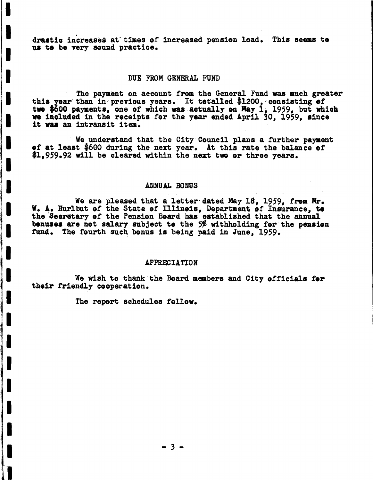drastic increases at times of increased pension load. This seems to us to be very sound practice.

#### DUE FROM GENERAL FUND

The payment on account from the General Fund was much greater this year than in previous years. It tetalled \$1200, consisting of<br>two \$600 payments, one of which was actually on May 1, 1959, but which we included in the receipts for the year ended April 30, 1959, since it was an intransit item.

We understand that the City Council plans a further payment of at least \$600 during the next year. At this rate the balance of \$1.959.92 will be cleared within the next two or three years.

## ANNUAL BONUS

We are pleased that a letter dated May 18. 1959. from Mr. W. A. Hurlbut of the State of Illinois, Department of Insurance, to the Secretary of the Pension Board has established that the annual benuses are not salary subject to the 5% withholding for the pension fund. The fourth such bonus is being paid in June. 1959.

#### **APPRECIATION**

We wish to thank the Board members and City officials for their friendly cooperation.

The report schedules follow.

 $-3-$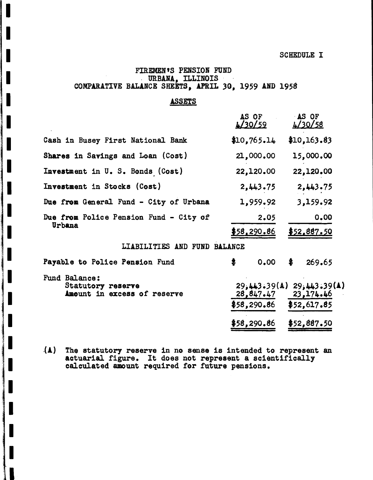**SCHEDULE I** 

 $$52,617.85$ 

 $$58,290.86$ 

## FIREMEN'S PENSION FUND URBANA, ILLINOIS COMPARATIVE BALANCE SHEETS, APRIL 30, 1959 AND 1958

ı

I

 $\blacksquare$ 

## **ASSETS**

|                                                                   | AS OF<br>$\frac{1}{20/59}$ | AS OF<br>4/30/58                            |
|-------------------------------------------------------------------|----------------------------|---------------------------------------------|
| Cash in Busey First National Bank                                 | \$10,765.14                | \$10,163.83                                 |
| Shares in Savings and Loan (Cost)                                 | 21,000.00                  | 15,000.00                                   |
| Investment in U. S. Bonds (Cost)                                  | 22,120.00                  | 22,120.00                                   |
| Investment in Stocks (Cost)                                       | 2,443.75                   | 2,443.75                                    |
| Due from General Fund - City of Urbana                            | 1,959.92                   | 3,159.92                                    |
| Due from Police Pension Fund - City of                            | 2.05                       | 0.00                                        |
| Urbana                                                            | \$58,290.86                | \$52,887.50                                 |
| LIABILITIES AND FUND BALANCE                                      |                            |                                             |
| Payable to Police Pension Fund                                    | \$<br>0.00                 | \$<br>269.65                                |
| Fund Balance:<br>Statutory reserve<br>Amount in excess of reserve | 28,847.47                  | $29,443.39(A)$ $29,443.39(A)$<br>23, 174.46 |

 $$58,290.86$ \$52,887.50

(A) The statutory reserve in no sense is intended to represent an actuarial figure. It does not represent a scientifically calculated amount required for future pensions.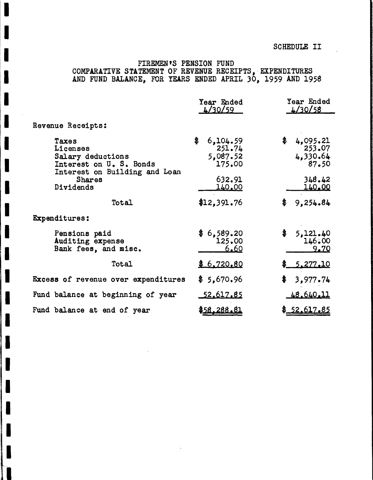## SCHEDULE II

# FIREMEN'S PENSION FUND COMPARATIVE STATEMENT OF REVENUE RECEIPTS, EXPENDITURES<br>AND FUND BALANCE, FOR YEARS ENDED APRIL 30, 1959 AND 1958

|                                                                                                    | Year Ended<br>4/30/59                          |                                                  |
|----------------------------------------------------------------------------------------------------|------------------------------------------------|--------------------------------------------------|
| Revenue Receipts:                                                                                  |                                                |                                                  |
| Taxes<br>Licenses<br>Salary deductions<br>Interest on U. S. Bonds<br>Interest on Building and Loan | \$<br>6,104.59<br>251.74<br>5,087.52<br>175.00 | \$<br>4,095.21<br>$-253.07$<br>4,330.64<br>87.50 |
| <b>Shares</b><br>Dividends                                                                         | 632.91<br>140.00                               | 348.42<br><u>140.00</u>                          |
| Total                                                                                              | \$12,391.76                                    | \$<br>9,254.84                                   |
| Expenditures:                                                                                      |                                                |                                                  |
| Pensions paid<br>Auditing expense<br>Bank fees, and misc.                                          | \$6,589.20<br>125.00<br>6.60                   | \$<br>5,121.40<br>146.00<br>9.70                 |
| Total                                                                                              | \$6,720.80                                     | <u>5.277.10</u>                                  |
| Excess of revenue over expenditures                                                                | \$5,670.96                                     | \$<br>3,977.74                                   |
| Fund balance at beginning of year                                                                  | <u>52.617.85</u>                               | <u>48.640.11</u>                                 |
| Fund balance at end of year                                                                        | \$58.288.81                                    | \$52.617.85                                      |

T

 $\blacksquare$ 

I